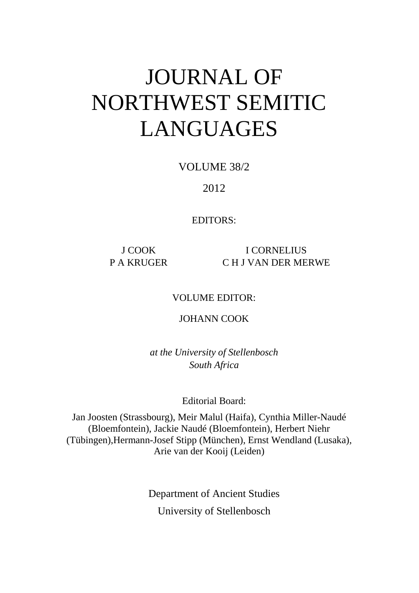# JOURNAL OF NORTHWEST SEMITIC LANGUAGES

VOLUME 38/2

2012

EDITORS:

J COOK I CORNELIUS P A KRUGER C H J VAN DER MERWE

VOLUME EDITOR:

JOHANN COOK

*at the University of Stellenbosch South Africa* 

Editorial Board:

Jan Joosten (Strassbourg), Meir Malul (Haifa), Cynthia Miller-Naudé (Bloemfontein), Jackie Naudé (Bloemfontein), Herbert Niehr (Tübingen),Hermann-Josef Stipp (München), Ernst Wendland (Lusaka), Arie van der Kooij (Leiden)

> Department of Ancient Studies University of Stellenbosch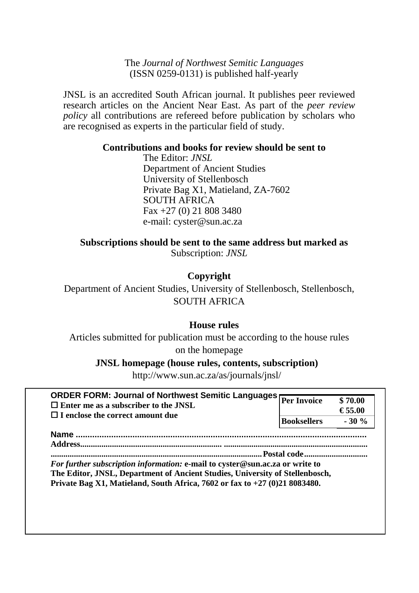### The *Journal of Northwest Semitic Languages*  (ISSN 0259-0131) is published half-yearly

JNSL is an accredited South African journal. It publishes peer reviewed research articles on the Ancient Near East. As part of the *peer review policy* all contributions are refereed before publication by scholars who are recognised as experts in the particular field of study.

## **Contributions and books for review should be sent to**

The Editor: *JNSL* Department of Ancient Studies University of Stellenbosch Private Bag X1, Matieland, ZA-7602 SOUTH AFRICA Fax +27 (0) 21 808 3480 e-mail: cyster@sun.ac.za

## **Subscriptions should be sent to the same address but marked as**

Subscription: *JNSL*

## **Copyright**

Department of Ancient Studies, University of Stellenbosch, Stellenbosch, SOUTH AFRICA

## **House rules**

Articles submitted for publication must be according to the house rules on the homepage

### **JNSL homepage (house rules, contents, subscription)**

http://www.sun.ac.za/as/journals/jnsl/

| <b>ORDER FORM: Journal of Northwest Semitic Languages</b><br>$\Box$ Enter me as a subscriber to the JNSL<br>$\Box$ I enclose the correct amount due                                                                                          | <b>Per Invoice</b> | \$70.00<br>€ 55.00 |
|----------------------------------------------------------------------------------------------------------------------------------------------------------------------------------------------------------------------------------------------|--------------------|--------------------|
|                                                                                                                                                                                                                                              | <b>Booksellers</b> | $-30%$             |
| <b>Name</b>                                                                                                                                                                                                                                  |                    |                    |
| <b>Address.</b>                                                                                                                                                                                                                              |                    |                    |
|                                                                                                                                                                                                                                              | Postal code        |                    |
|                                                                                                                                                                                                                                              |                    |                    |
|                                                                                                                                                                                                                                              |                    |                    |
|                                                                                                                                                                                                                                              |                    |                    |
|                                                                                                                                                                                                                                              |                    |                    |
| For further subscription information: e-mail to cyster@sun.ac.za or write to<br>The Editor, JNSL, Department of Ancient Studies, University of Stellenbosch,<br>Private Bag X1, Matieland, South Africa, 7602 or fax to $+27$ (0)21 8083480. |                    |                    |
|                                                                                                                                                                                                                                              |                    |                    |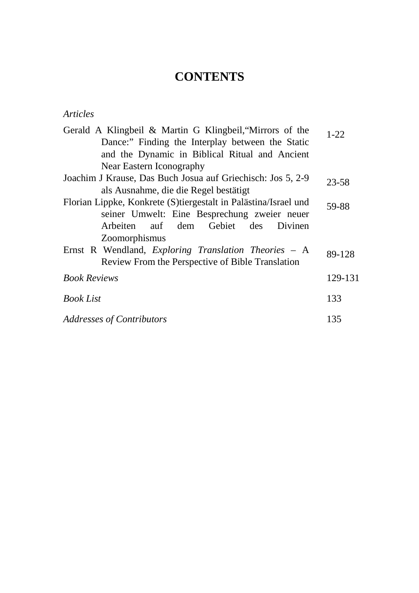## **CONTENTS**

## *Articles*

| Gerald A Klingbeil & Martin G Klingbeil, "Mirrors of the        | $1 - 22$ |  |
|-----------------------------------------------------------------|----------|--|
| Dance:" Finding the Interplay between the Static                |          |  |
| and the Dynamic in Biblical Ritual and Ancient                  |          |  |
| Near Eastern Iconography                                        |          |  |
| Joachim J Krause, Das Buch Josua auf Griechisch: Jos 5, 2-9     | 23-58    |  |
| als Ausnahme, die die Regel bestätigt                           |          |  |
| Florian Lippke, Konkrete (S)tiergestalt in Palästina/Israel und | 59-88    |  |
| seiner Umwelt: Eine Besprechung zweier neuer                    |          |  |
| Arbeiten auf dem Gebiet des Divinen                             |          |  |
| <b>Zoomorphismus</b>                                            |          |  |
| Ernst R Wendland, Exploring Translation Theories – A            | 89-128   |  |
| Review From the Perspective of Bible Translation                |          |  |
| <b>Book Reviews</b>                                             | 129-131  |  |
| <b>Book List</b>                                                | 133      |  |
| <b>Addresses of Contributors</b>                                | 135      |  |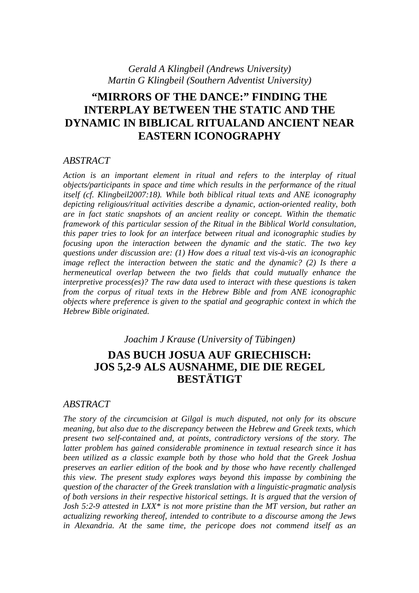#### *Gerald A Klingbeil (Andrews University) Martin G Klingbeil (Southern Adventist University)*

## **"MIRRORS OF THE DANCE:" FINDING THE INTERPLAY BETWEEN THE STATIC AND THE DYNAMIC IN BIBLICAL RITUALAND ANCIENT NEAR EASTERN ICONOGRAPHY**

#### *ABSTRACT*

*Action is an important element in ritual and refers to the interplay of ritual objects/participants in space and time which results in the performance of the ritual itself (cf. Klingbeil2007:18). While both biblical ritual texts and ANE iconography depicting religious/ritual activities describe a dynamic, action-oriented reality, both are in fact static snapshots of an ancient reality or concept. Within the thematic framework of this particular session of the Ritual in the Biblical World consultation, this paper tries to look for an interface between ritual and iconographic studies by focusing upon the interaction between the dynamic and the static. The two key questions under discussion are: (1) How does a ritual text vis-à-vis an iconographic image reflect the interaction between the static and the dynamic? (2) Is there a hermeneutical overlap between the two fields that could mutually enhance the interpretive process(es)? The raw data used to interact with these questions is taken from the corpus of ritual texts in the Hebrew Bible and from ANE iconographic objects where preference is given to the spatial and geographic context in which the Hebrew Bible originated.* 

## *Joachim J Krause (University of Tübingen)*  **DAS BUCH JOSUA AUF GRIECHISCH: JOS 5,2-9 ALS AUSNAHME, DIE DIE REGEL BESTÄTIGT**

#### *ABSTRACT*

*The story of the circumcision at Gilgal is much disputed, not only for its obscure meaning, but also due to the discrepancy between the Hebrew and Greek texts, which present two self-contained and, at points, contradictory versions of the story. The latter problem has gained considerable prominence in textual research since it has been utilized as a classic example both by those who hold that the Greek Joshua preserves an earlier edition of the book and by those who have recently challenged this view. The present study explores ways beyond this impasse by combining the question of the character of the Greek translation with a linguistic-pragmatic analysis of both versions in their respective historical settings. It is argued that the version of Josh 5:2-9 attested in LXX\* is not more pristine than the MT version, but rather an actualizing reworking thereof, intended to contribute to a discourse among the Jews in Alexandria. At the same time, the pericope does not commend itself as an*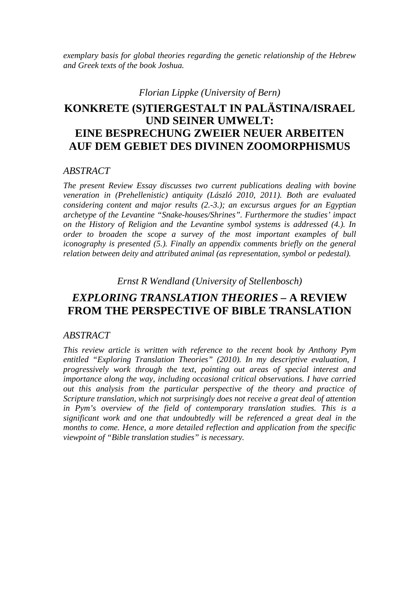*exemplary basis for global theories regarding the genetic relationship of the Hebrew and Greek texts of the book Joshua.* 

## *Florian Lippke (University of Bern)*  **KONKRETE (S)TIERGESTALT IN PALÄSTINA/ISRAEL UND SEINER UMWELT: EINE BESPRECHUNG ZWEIER NEUER ARBEITEN AUF DEM GEBIET DES DIVINEN ZOOMORPHISMUS**

#### *ABSTRACT*

*The present Review Essay discusses two current publications dealing with bovine veneration in (Prehellenistic) antiquity (László 2010, 2011). Both are evaluated considering content and major results (2.-3.); an excursus argues for an Egyptian archetype of the Levantine "Snake-houses/Shrines". Furthermore the studies' impact on the History of Religion and the Levantine symbol systems is addressed (4.). In order to broaden the scope a survey of the most important examples of bull iconography is presented (5.). Finally an appendix comments briefly on the general relation between deity and attributed animal (as representation, symbol or pedestal).* 

*Ernst R Wendland (University of Stellenbosch)* 

## *EXPLORING TRANSLATION THEORIES –* **A REVIEW FROM THE PERSPECTIVE OF BIBLE TRANSLATION**

#### *ABSTRACT*

*This review article is written with reference to the recent book by Anthony Pym*  entitled "Exploring Translation Theories" (2010). In my descriptive evaluation, I *progressively work through the text, pointing out areas of special interest and importance along the way, including occasional critical observations. I have carried out this analysis from the particular perspective of the theory and practice of Scripture translation, which not surprisingly does not receive a great deal of attention in Pym's overview of the field of contemporary translation studies. This is a significant work and one that undoubtedly will be referenced a great deal in the months to come. Hence, a more detailed reflection and application from the specific viewpoint of "Bible translation studies" is necessary.*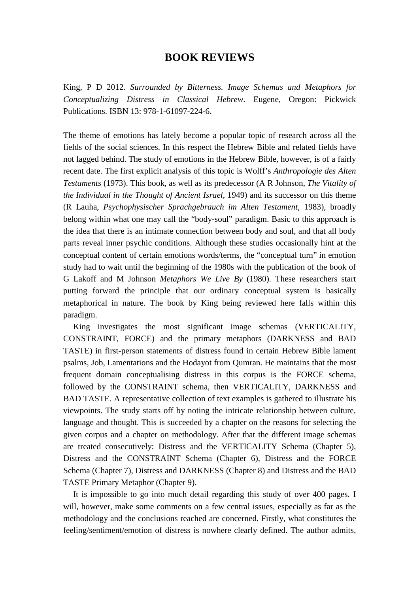### **BOOK REVIEWS**

King, P D 2012. *Surrounded by Bitterness. Image Schemas and Metaphors for Conceptualizing Distress in Classical Hebrew*. Eugene, Oregon: Pickwick Publications. ISBN 13: 978-1-61097-224-6.

The theme of emotions has lately become a popular topic of research across all the fields of the social sciences. In this respect the Hebrew Bible and related fields have not lagged behind. The study of emotions in the Hebrew Bible, however, is of a fairly recent date. The first explicit analysis of this topic is Wolff's *Anthropologie des Alten Testaments* (1973). This book, as well as its predecessor (A R Johnson, *The Vitality of the Individual in the Thought of Ancient Israel*, 1949) and its successor on this theme (R Lauha, *Psychophysischer Sprachgebrauch im Alten Testament*, 1983), broadly belong within what one may call the "body-soul" paradigm. Basic to this approach is the idea that there is an intimate connection between body and soul, and that all body parts reveal inner psychic conditions. Although these studies occasionally hint at the conceptual content of certain emotions words/terms, the "conceptual turn" in emotion study had to wait until the beginning of the 1980s with the publication of the book of G Lakoff and M Johnson *Metaphors We Live By* (1980). These researchers start putting forward the principle that our ordinary conceptual system is basically metaphorical in nature. The book by King being reviewed here falls within this paradigm.

King investigates the most significant image schemas (VERTICALITY, CONSTRAINT, FORCE) and the primary metaphors (DARKNESS and BAD TASTE) in first-person statements of distress found in certain Hebrew Bible lament psalms, Job, Lamentations and the Hodayot from Qumran. He maintains that the most frequent domain conceptualising distress in this corpus is the FORCE schema, followed by the CONSTRAINT schema, then VERTICALITY, DARKNESS and BAD TASTE. A representative collection of text examples is gathered to illustrate his viewpoints. The study starts off by noting the intricate relationship between culture, language and thought. This is succeeded by a chapter on the reasons for selecting the given corpus and a chapter on methodology. After that the different image schemas are treated consecutively: Distress and the VERTICALITY Schema (Chapter 5), Distress and the CONSTRAINT Schema (Chapter 6), Distress and the FORCE Schema (Chapter 7), Distress and DARKNESS (Chapter 8) and Distress and the BAD TASTE Primary Metaphor (Chapter 9).

It is impossible to go into much detail regarding this study of over 400 pages. I will, however, make some comments on a few central issues, especially as far as the methodology and the conclusions reached are concerned. Firstly, what constitutes the feeling/sentiment/emotion of distress is nowhere clearly defined. The author admits,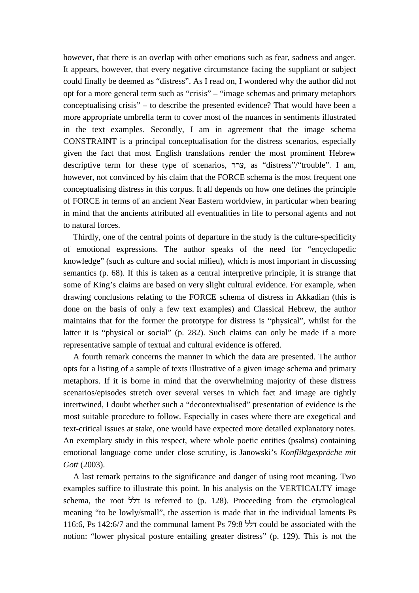however, that there is an overlap with other emotions such as fear, sadness and anger. It appears, however, that every negative circumstance facing the suppliant or subject could finally be deemed as "distress". As I read on, I wondered why the author did not opt for a more general term such as "crisis" – "image schemas and primary metaphors conceptualising crisis" – to describe the presented evidence? That would have been a more appropriate umbrella term to cover most of the nuances in sentiments illustrated in the text examples. Secondly, I am in agreement that the image schema CONSTRAINT is a principal conceptualisation for the distress scenarios, especially given the fact that most English translations render the most prominent Hebrew descriptive term for these type of scenarios, צרר, as "distress"/"trouble". I am, however, not convinced by his claim that the FORCE schema is the most frequent one conceptualising distress in this corpus. It all depends on how one defines the principle of FORCE in terms of an ancient Near Eastern worldview, in particular when bearing in mind that the ancients attributed all eventualities in life to personal agents and not to natural forces.

Thirdly, one of the central points of departure in the study is the culture-specificity of emotional expressions. The author speaks of the need for "encyclopedic knowledge" (such as culture and social milieu), which is most important in discussing semantics (p. 68). If this is taken as a central interpretive principle, it is strange that some of King's claims are based on very slight cultural evidence. For example, when drawing conclusions relating to the FORCE schema of distress in Akkadian (this is done on the basis of only a few text examples) and Classical Hebrew, the author maintains that for the former the prototype for distress is "physical", whilst for the latter it is "physical or social" (p. 282). Such claims can only be made if a more representative sample of textual and cultural evidence is offered.

A fourth remark concerns the manner in which the data are presented. The author opts for a listing of a sample of texts illustrative of a given image schema and primary metaphors. If it is borne in mind that the overwhelming majority of these distress scenarios/episodes stretch over several verses in which fact and image are tightly intertwined, I doubt whether such a "decontextualised" presentation of evidence is the most suitable procedure to follow. Especially in cases where there are exegetical and text-critical issues at stake, one would have expected more detailed explanatory notes. An exemplary study in this respect, where whole poetic entities (psalms) containing emotional language come under close scrutiny, is Janowski's *Konfliktgespräche mit Gott* (2003).

A last remark pertains to the significance and danger of using root meaning. Two examples suffice to illustrate this point. In his analysis on the VERTICALTY image schema, the root דלל is referred to (p. 128). Proceeding from the etymological meaning "to be lowly/small", the assertion is made that in the individual laments Ps 116:6, Ps 142:6/7 and the communal lament Ps 79:8 דלל could be associated with the notion: "lower physical posture entailing greater distress" (p. 129). This is not the